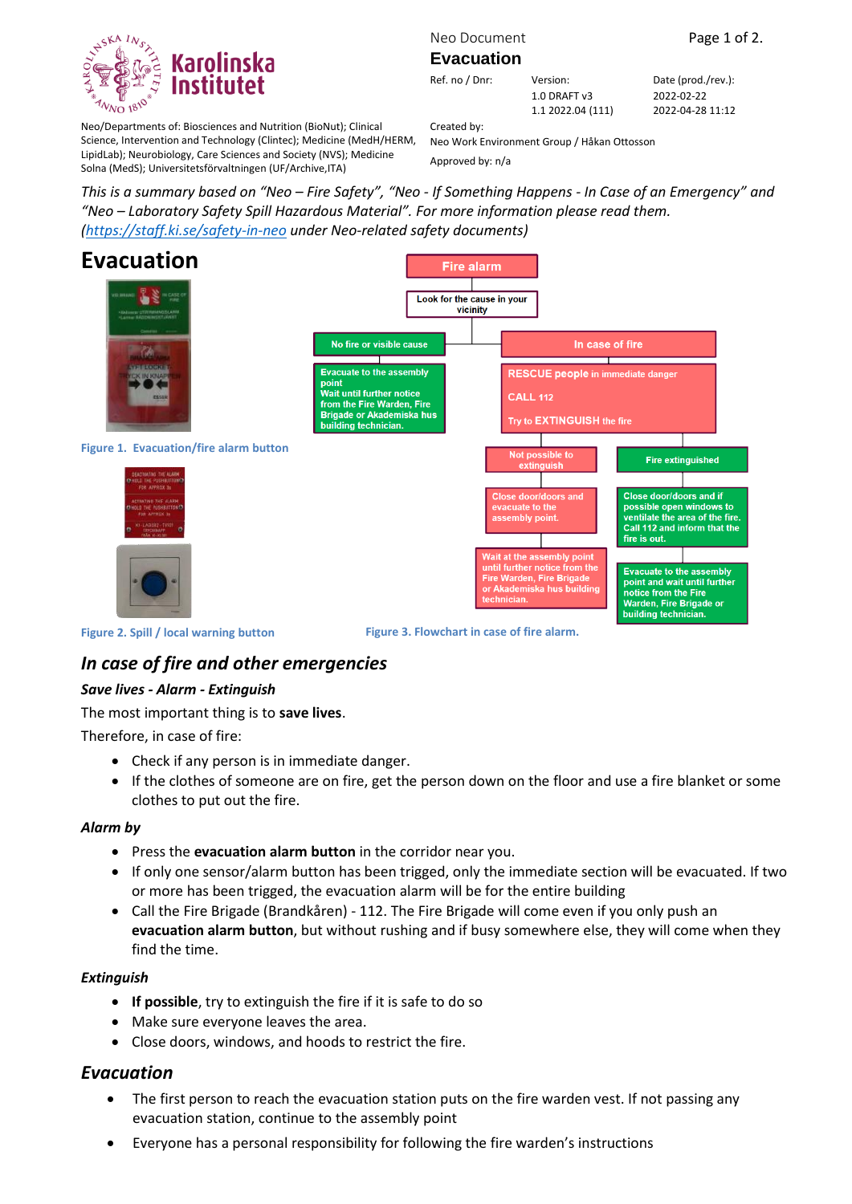

Neo Document Page 1 of 2.

#### **Evacuation**

Ref. no / Dnr: Version: Date (prod./rev.): 1.0 DRAFT v3

2022-02-22 2022-04-28 11:12

Neo/Departments of: Biosciences and Nutrition (BioNut); Clinical Science, Intervention and Technology (Clintec); Medicine (MedH/HERM, LipidLab); Neurobiology, Care Sciences and Society (NVS); Medicine Solna (MedS); Universitetsförvaltningen (UF/Archive,ITA)

Created by: Neo Work Environment Group / Håkan Ottosson

1.1 2022.04 (111)

Approved by: n/a

*This is a summary based on "Neo – Fire Safety", "Neo - If Something Happens - In Case of an Emergency" and "Neo – Laboratory Safety Spill Hazardous Material". For more information please read them. [\(https://staff.ki.se/safety-in-neo](https://staff.ki.se/safety-in-neo) under Neo-related safety documents)*



# *In case of fire and other emergencies*

### *Save lives - Alarm - Extinguish*

The most important thing is to **save lives**.

Therefore, in case of fire:

- Check if any person is in immediate danger.
- If the clothes of someone are on fire, get the person down on the floor and use a fire blanket or some clothes to put out the fire.

### *Alarm by*

- Press the **evacuation alarm button** in the corridor near you.
- If only one sensor/alarm button has been trigged, only the immediate section will be evacuated. If two or more has been trigged, the evacuation alarm will be for the entire building
- Call the Fire Brigade (Brandkåren) 112. The Fire Brigade will come even if you only push an **evacuation alarm button**, but without rushing and if busy somewhere else, they will come when they find the time.

### *Extinguish*

- **If possible**, try to extinguish the fire if it is safe to do so
- Make sure everyone leaves the area.
- Close doors, windows, and hoods to restrict the fire.

# *Evacuation*

- The first person to reach the evacuation station puts on the fire warden vest. If not passing any evacuation station, continue to the assembly point
- Everyone has a personal responsibility for following the fire warden's instructions